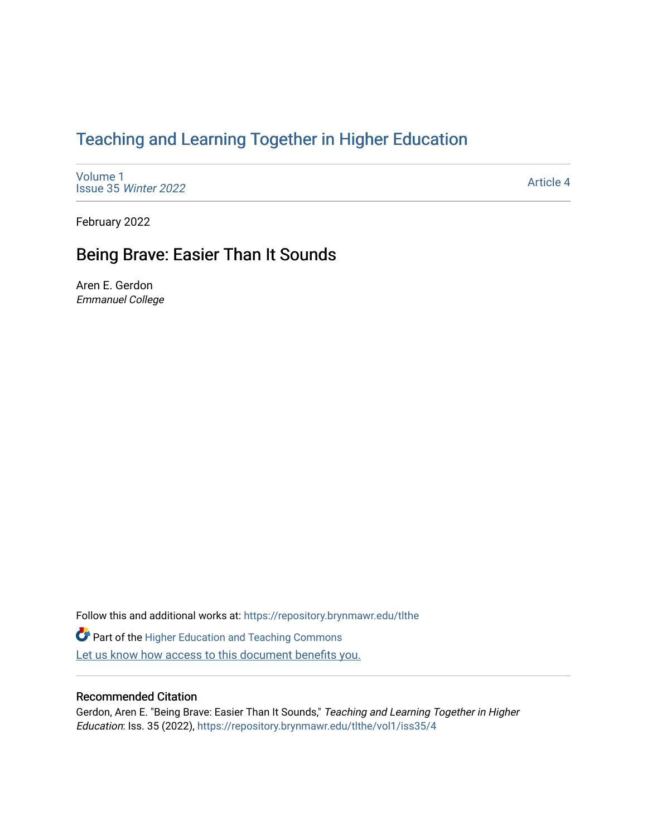# [Teaching and Learning Together in Higher Education](https://repository.brynmawr.edu/tlthe)

[Volume 1](https://repository.brynmawr.edu/tlthe/vol1) [Issue 35](https://repository.brynmawr.edu/tlthe/vol1/iss35) Winter 2022

[Article 4](https://repository.brynmawr.edu/tlthe/vol1/iss35/4) 

February 2022

# Being Brave: Easier Than It Sounds

Aren E. Gerdon Emmanuel College

Follow this and additional works at: [https://repository.brynmawr.edu/tlthe](https://repository.brynmawr.edu/tlthe?utm_source=repository.brynmawr.edu%2Ftlthe%2Fvol1%2Fiss35%2F4&utm_medium=PDF&utm_campaign=PDFCoverPages) 

**Part of the Higher Education and Teaching Commons** Let us know how access to this document benefits you.

#### Recommended Citation

Gerdon, Aren E. "Being Brave: Easier Than It Sounds," Teaching and Learning Together in Higher Education: Iss. 35 (2022), [https://repository.brynmawr.edu/tlthe/vol1/iss35/4](https://repository.brynmawr.edu/tlthe/vol1/iss35/4?utm_source=repository.brynmawr.edu%2Ftlthe%2Fvol1%2Fiss35%2F4&utm_medium=PDF&utm_campaign=PDFCoverPages)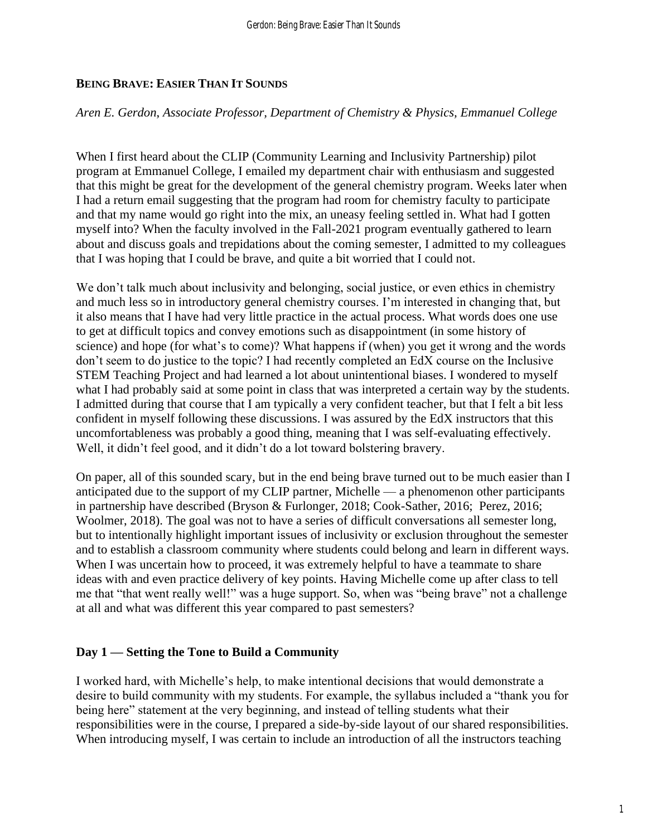# **BEING BRAVE: EASIER THAN IT SOUNDS**

## *Aren E. Gerdon*, *Associate Professor, Department of Chemistry & Physics, Emmanuel College*

When I first heard about the CLIP (Community Learning and Inclusivity Partnership) pilot program at Emmanuel College, I emailed my department chair with enthusiasm and suggested that this might be great for the development of the general chemistry program. Weeks later when I had a return email suggesting that the program had room for chemistry faculty to participate and that my name would go right into the mix, an uneasy feeling settled in. What had I gotten myself into? When the faculty involved in the Fall-2021 program eventually gathered to learn about and discuss goals and trepidations about the coming semester, I admitted to my colleagues that I was hoping that I could be brave, and quite a bit worried that I could not.

We don't talk much about inclusivity and belonging, social justice, or even ethics in chemistry and much less so in introductory general chemistry courses. I'm interested in changing that, but it also means that I have had very little practice in the actual process. What words does one use to get at difficult topics and convey emotions such as disappointment (in some history of science) and hope (for what's to come)? What happens if (when) you get it wrong and the words don't seem to do justice to the topic? I had recently completed an EdX course on the Inclusive STEM Teaching Project and had learned a lot about unintentional biases. I wondered to myself what I had probably said at some point in class that was interpreted a certain way by the students. I admitted during that course that I am typically a very confident teacher, but that I felt a bit less confident in myself following these discussions. I was assured by the EdX instructors that this uncomfortableness was probably a good thing, meaning that I was self-evaluating effectively. Well, it didn't feel good, and it didn't do a lot toward bolstering bravery.

On paper, all of this sounded scary, but in the end being brave turned out to be much easier than I anticipated due to the support of my CLIP partner, Michelle — a phenomenon other participants in partnership have described (Bryson & Furlonger, 2018; Cook-Sather, 2016; Perez, 2016; Woolmer, 2018). The goal was not to have a series of difficult conversations all semester long, but to intentionally highlight important issues of inclusivity or exclusion throughout the semester and to establish a classroom community where students could belong and learn in different ways. When I was uncertain how to proceed, it was extremely helpful to have a teammate to share ideas with and even practice delivery of key points. Having Michelle come up after class to tell me that "that went really well!" was a huge support. So, when was "being brave" not a challenge at all and what was different this year compared to past semesters?

# **Day 1 — Setting the Tone to Build a Community**

I worked hard, with Michelle's help, to make intentional decisions that would demonstrate a desire to build community with my students. For example, the syllabus included a "thank you for being here" statement at the very beginning, and instead of telling students what their responsibilities were in the course, I prepared a side-by-side layout of our shared responsibilities. When introducing myself, I was certain to include an introduction of all the instructors teaching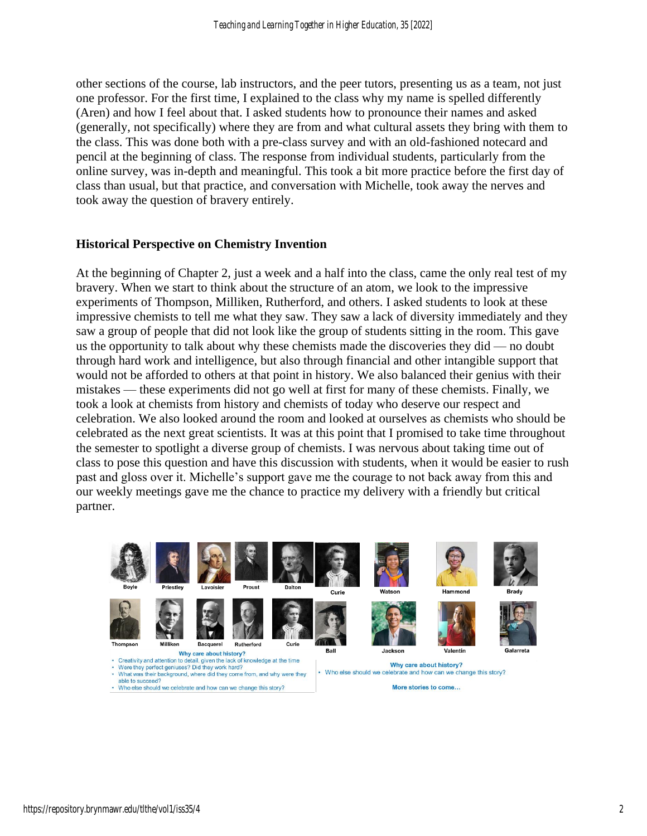other sections of the course, lab instructors, and the peer tutors, presenting us as a team, not just one professor. For the first time, I explained to the class why my name is spelled differently (Aren) and how I feel about that. I asked students how to pronounce their names and asked (generally, not specifically) where they are from and what cultural assets they bring with them to the class. This was done both with a pre-class survey and with an old-fashioned notecard and pencil at the beginning of class. The response from individual students, particularly from the online survey, was in-depth and meaningful. This took a bit more practice before the first day of class than usual, but that practice, and conversation with Michelle, took away the nerves and took away the question of bravery entirely.

#### **Historical Perspective on Chemistry Invention**

At the beginning of Chapter 2, just a week and a half into the class, came the only real test of my bravery. When we start to think about the structure of an atom, we look to the impressive experiments of Thompson, Milliken, Rutherford, and others. I asked students to look at these impressive chemists to tell me what they saw. They saw a lack of diversity immediately and they saw a group of people that did not look like the group of students sitting in the room. This gave us the opportunity to talk about why these chemists made the discoveries they did — no doubt through hard work and intelligence, but also through financial and other intangible support that would not be afforded to others at that point in history. We also balanced their genius with their mistakes — these experiments did not go well at first for many of these chemists. Finally, we took a look at chemists from history and chemists of today who deserve our respect and celebration. We also looked around the room and looked at ourselves as chemists who should be celebrated as the next great scientists. It was at this point that I promised to take time throughout the semester to spotlight a diverse group of chemists. I was nervous about taking time out of class to pose this question and have this discussion with students, when it would be easier to rush past and gloss over it. Michelle's support gave me the courage to not back away from this and our weekly meetings gave me the chance to practice my delivery with a friendly but critical partner.



- What was their background, where did they come from, and why were they
- able to succeed? • Who else should we celebrate and how can we change this story?

• Who else should we celebrate and how can we change this story?

More stories to come...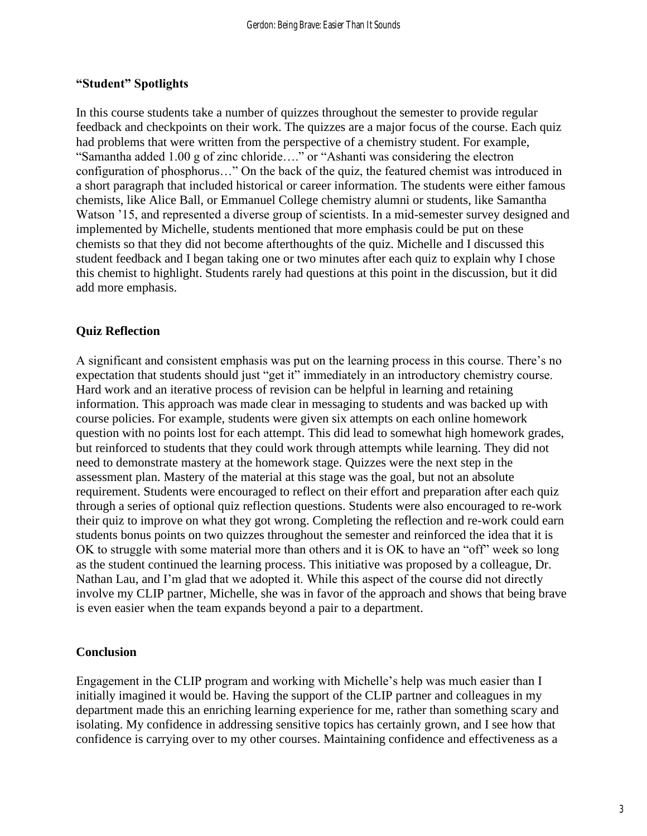# **"Student" Spotlights**

In this course students take a number of quizzes throughout the semester to provide regular feedback and checkpoints on their work. The quizzes are a major focus of the course. Each quiz had problems that were written from the perspective of a chemistry student. For example, "Samantha added 1.00 g of zinc chloride…." or "Ashanti was considering the electron configuration of phosphorus…" On the back of the quiz, the featured chemist was introduced in a short paragraph that included historical or career information. The students were either famous chemists, like Alice Ball, or Emmanuel College chemistry alumni or students, like Samantha Watson '15, and represented a diverse group of scientists. In a mid-semester survey designed and implemented by Michelle, students mentioned that more emphasis could be put on these chemists so that they did not become afterthoughts of the quiz. Michelle and I discussed this student feedback and I began taking one or two minutes after each quiz to explain why I chose this chemist to highlight. Students rarely had questions at this point in the discussion, but it did add more emphasis.

# **Quiz Reflection**

A significant and consistent emphasis was put on the learning process in this course. There's no expectation that students should just "get it" immediately in an introductory chemistry course. Hard work and an iterative process of revision can be helpful in learning and retaining information. This approach was made clear in messaging to students and was backed up with course policies. For example, students were given six attempts on each online homework question with no points lost for each attempt. This did lead to somewhat high homework grades, but reinforced to students that they could work through attempts while learning. They did not need to demonstrate mastery at the homework stage. Quizzes were the next step in the assessment plan. Mastery of the material at this stage was the goal, but not an absolute requirement. Students were encouraged to reflect on their effort and preparation after each quiz through a series of optional quiz reflection questions. Students were also encouraged to re-work their quiz to improve on what they got wrong. Completing the reflection and re-work could earn students bonus points on two quizzes throughout the semester and reinforced the idea that it is OK to struggle with some material more than others and it is OK to have an "off" week so long as the student continued the learning process. This initiative was proposed by a colleague, Dr. Nathan Lau, and I'm glad that we adopted it. While this aspect of the course did not directly involve my CLIP partner, Michelle, she was in favor of the approach and shows that being brave is even easier when the team expands beyond a pair to a department.

# **Conclusion**

Engagement in the CLIP program and working with Michelle's help was much easier than I initially imagined it would be. Having the support of the CLIP partner and colleagues in my department made this an enriching learning experience for me, rather than something scary and isolating. My confidence in addressing sensitive topics has certainly grown, and I see how that confidence is carrying over to my other courses. Maintaining confidence and effectiveness as a